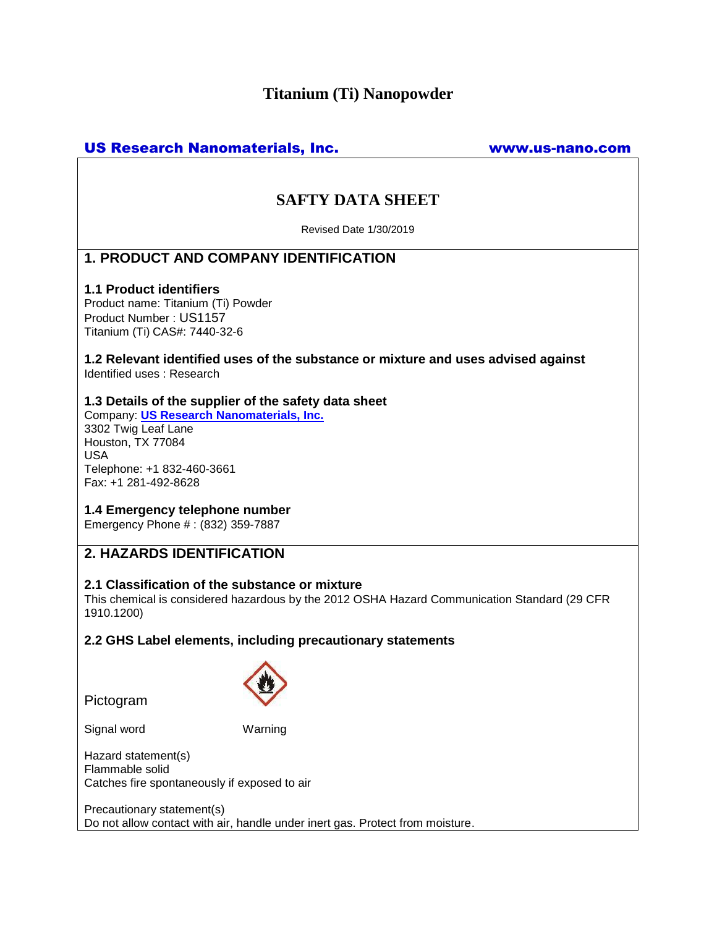# **Titanium (Ti) Nanopowder**

# US Research Nanomaterials, Inc. www.us-nano.com

# **SAFTY DATA SHEET**

Revised Date 1/30/2019

# **1. PRODUCT AND COMPANY IDENTIFICATION**

### **1.1 Product identifiers**

Product name: Titanium (Ti) Powder Product Number : US1157 Titanium (Ti) CAS#: 7440-32-6

**1.2 Relevant identified uses of the substance or mixture and uses advised against** Identified uses : Research

## **1.3 Details of the supplier of the safety data sheet**

Company: **[US Research Nanomaterials, Inc.](http://www.us-nano.com/)** 3302 Twig Leaf Lane Houston, TX 77084 USA Telephone: +1 832-460-3661 Fax: +1 281-492-8628

## **1.4 Emergency telephone number**

Emergency Phone # : (832) 359-7887

# **2. HAZARDS IDENTIFICATION**

### **2.1 Classification of the substance or mixture**

This chemical is considered hazardous by the 2012 OSHA Hazard Communication Standard (29 CFR 1910.1200)

## **2.2 GHS Label elements, including precautionary statements**

Pictogram



Signal word Warning

Hazard statement(s) Flammable solid Catches fire spontaneously if exposed to air

Precautionary statement(s) Do not allow contact with air, handle under inert gas. Protect from moisture.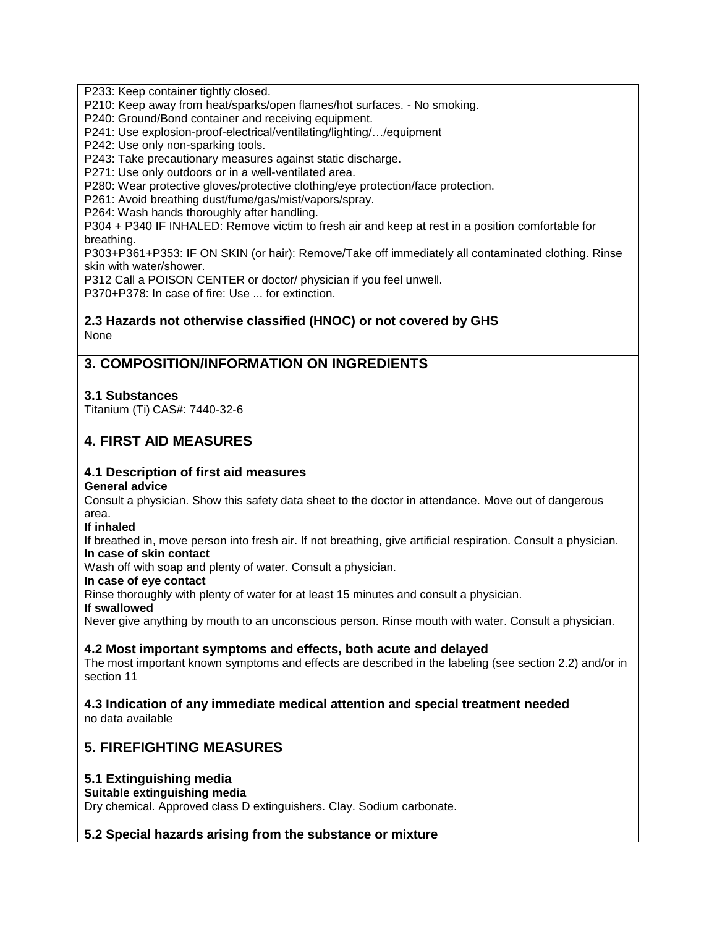P233: Keep container tightly closed.

P210: Keep away from heat/sparks/open flames/hot surfaces. - No smoking.

P240: Ground/Bond container and receiving equipment.

P241: Use explosion-proof-electrical/ventilating/lighting/…/equipment

P242: Use only non-sparking tools.

P243: Take precautionary measures against static discharge.

P271: Use only outdoors or in a well-ventilated area.

P280: Wear protective gloves/protective clothing/eye protection/face protection.

P261: Avoid breathing dust/fume/gas/mist/vapors/spray.

P264: Wash hands thoroughly after handling.

P304 + P340 IF INHALED: Remove victim to fresh air and keep at rest in a position comfortable for breathing.

P303+P361+P353: IF ON SKIN (or hair): Remove/Take off immediately all contaminated clothing. Rinse skin with water/shower.

P312 Call a POISON CENTER or doctor/ physician if you feel unwell.

P370+P378: In case of fire: Use ... for extinction.

## **2.3 Hazards not otherwise classified (HNOC) or not covered by GHS** None

# **3. COMPOSITION/INFORMATION ON INGREDIENTS**

## **3.1 Substances**

Titanium (Ti) CAS#: 7440-32-6

# **4. FIRST AID MEASURES**

## **4.1 Description of first aid measures**

### **General advice**

Consult a physician. Show this safety data sheet to the doctor in attendance. Move out of dangerous area.

### **If inhaled**

If breathed in, move person into fresh air. If not breathing, give artificial respiration. Consult a physician. **In case of skin contact**

Wash off with soap and plenty of water. Consult a physician.

#### **In case of eye contact**

Rinse thoroughly with plenty of water for at least 15 minutes and consult a physician.

#### **If swallowed**

Never give anything by mouth to an unconscious person. Rinse mouth with water. Consult a physician.

### **4.2 Most important symptoms and effects, both acute and delayed**

The most important known symptoms and effects are described in the labeling (see section 2.2) and/or in section 11

# **4.3 Indication of any immediate medical attention and special treatment needed**

no data available

# **5. FIREFIGHTING MEASURES**

### **5.1 Extinguishing media**

### **Suitable extinguishing media**

Dry chemical. Approved class D extinguishers. Clay. Sodium carbonate.

## **5.2 Special hazards arising from the substance or mixture**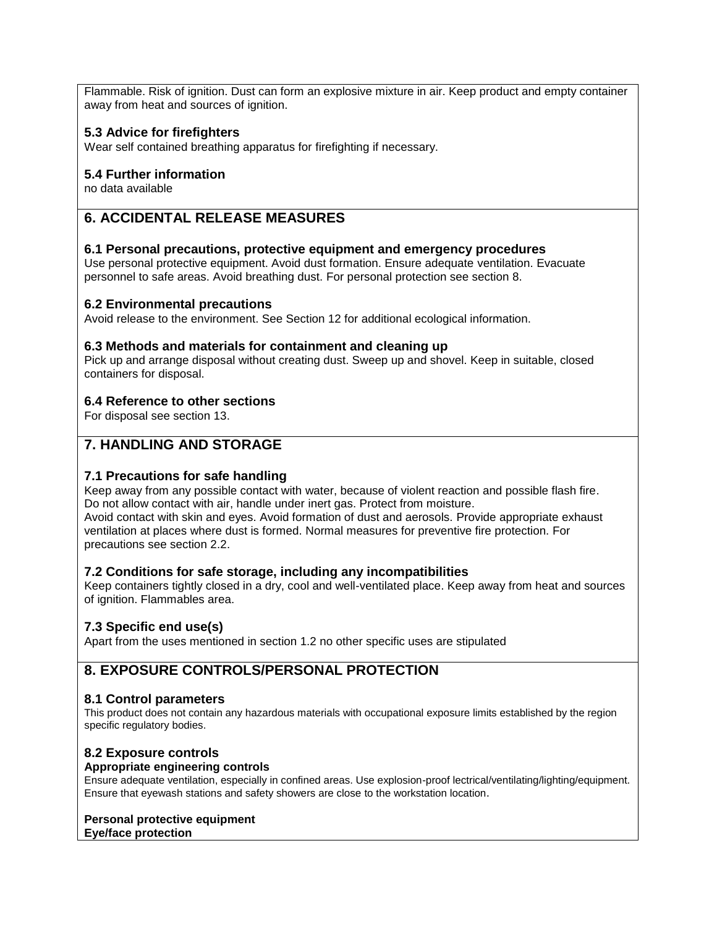Flammable. Risk of ignition. Dust can form an explosive mixture in air. Keep product and empty container away from heat and sources of ignition.

## **5.3 Advice for firefighters**

Wear self contained breathing apparatus for firefighting if necessary.

#### **5.4 Further information**

no data available

# **6. ACCIDENTAL RELEASE MEASURES**

#### **6.1 Personal precautions, protective equipment and emergency procedures**

Use personal protective equipment. Avoid dust formation. Ensure adequate ventilation. Evacuate personnel to safe areas. Avoid breathing dust. For personal protection see section 8.

### **6.2 Environmental precautions**

Avoid release to the environment. See Section 12 for additional ecological information.

#### **6.3 Methods and materials for containment and cleaning up**

Pick up and arrange disposal without creating dust. Sweep up and shovel. Keep in suitable, closed containers for disposal.

### **6.4 Reference to other sections**

For disposal see section 13.

# **7. HANDLING AND STORAGE**

### **7.1 Precautions for safe handling**

Keep away from any possible contact with water, because of violent reaction and possible flash fire. Do not allow contact with air, handle under inert gas. Protect from moisture. Avoid contact with skin and eyes. Avoid formation of dust and aerosols. Provide appropriate exhaust ventilation at places where dust is formed. Normal measures for preventive fire protection. For precautions see section 2.2.

### **7.2 Conditions for safe storage, including any incompatibilities**

Keep containers tightly closed in a dry, cool and well-ventilated place. Keep away from heat and sources of ignition. Flammables area.

### **7.3 Specific end use(s)**

Apart from the uses mentioned in section 1.2 no other specific uses are stipulated

# **8. EXPOSURE CONTROLS/PERSONAL PROTECTION**

#### **8.1 Control parameters**

This product does not contain any hazardous materials with occupational exposure limits established by the region specific regulatory bodies.

### **8.2 Exposure controls**

#### **Appropriate engineering controls**

Ensure adequate ventilation, especially in confined areas. Use explosion-proof lectrical/ventilating/lighting/equipment. Ensure that eyewash stations and safety showers are close to the workstation location.

#### **Personal protective equipment Eye/face protection**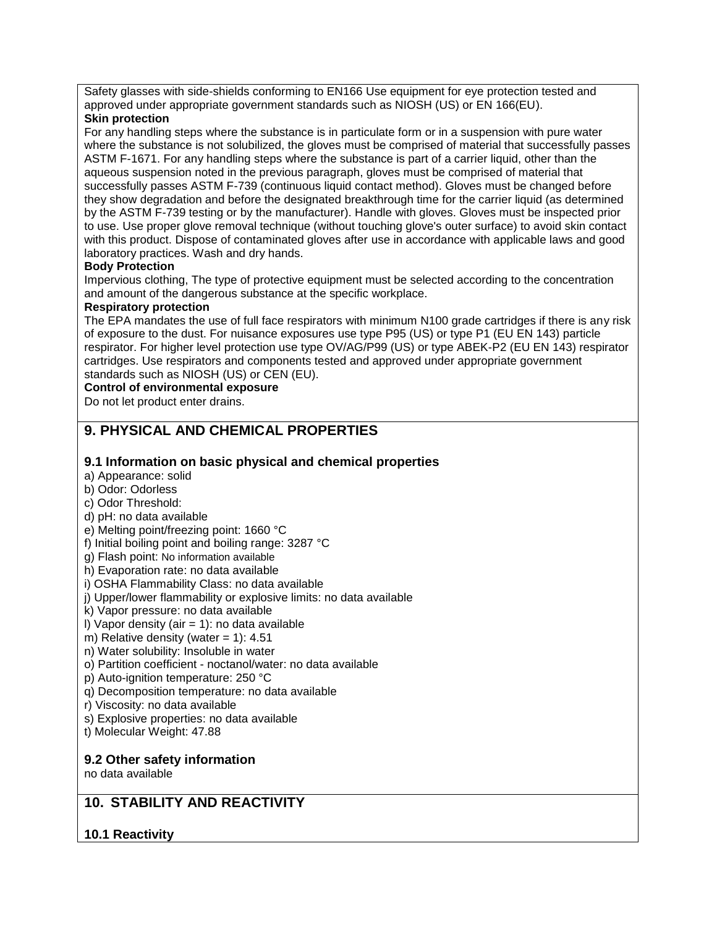Safety glasses with side-shields conforming to EN166 Use equipment for eye protection tested and approved under appropriate government standards such as NIOSH (US) or EN 166(EU).

### **Skin protection**

For any handling steps where the substance is in particulate form or in a suspension with pure water where the substance is not solubilized, the gloves must be comprised of material that successfully passes ASTM F-1671. For any handling steps where the substance is part of a carrier liquid, other than the aqueous suspension noted in the previous paragraph, gloves must be comprised of material that successfully passes ASTM F-739 (continuous liquid contact method). Gloves must be changed before they show degradation and before the designated breakthrough time for the carrier liquid (as determined by the ASTM F-739 testing or by the manufacturer). Handle with gloves. Gloves must be inspected prior to use. Use proper glove removal technique (without touching glove's outer surface) to avoid skin contact with this product. Dispose of contaminated gloves after use in accordance with applicable laws and good laboratory practices. Wash and dry hands.

## **Body Protection**

Impervious clothing, The type of protective equipment must be selected according to the concentration and amount of the dangerous substance at the specific workplace.

### **Respiratory protection**

The EPA mandates the use of full face respirators with minimum N100 grade cartridges if there is any risk of exposure to the dust. For nuisance exposures use type P95 (US) or type P1 (EU EN 143) particle respirator. For higher level protection use type OV/AG/P99 (US) or type ABEK-P2 (EU EN 143) respirator cartridges. Use respirators and components tested and approved under appropriate government standards such as NIOSH (US) or CEN (EU).

## **Control of environmental exposure**

Do not let product enter drains.

# **9. PHYSICAL AND CHEMICAL PROPERTIES**

## **9.1 Information on basic physical and chemical properties**

- a) Appearance: solid
- b) Odor: Odorless
- c) Odor Threshold:
- d) pH: no data available
- e) Melting point/freezing point: 1660 °C
- f) Initial boiling point and boiling range: 3287 °C
- g) Flash point: No information available
- h) Evaporation rate: no data available
- i) OSHA Flammability Class: no data available
- j) Upper/lower flammability or explosive limits: no data available
- k) Vapor pressure: no data available
- I) Vapor density (air  $= 1$ ): no data available
- m) Relative density (water =  $1$ ):  $4.51$
- n) Water solubility: Insoluble in water
- o) Partition coefficient noctanol/water: no data available
- p) Auto-ignition temperature: 250 °C
- q) Decomposition temperature: no data available
- r) Viscosity: no data available
- s) Explosive properties: no data available
- t) Molecular Weight: 47.88

### **9.2 Other safety information**

no data available

# **10. STABILITY AND REACTIVITY**

# **10.1 Reactivity**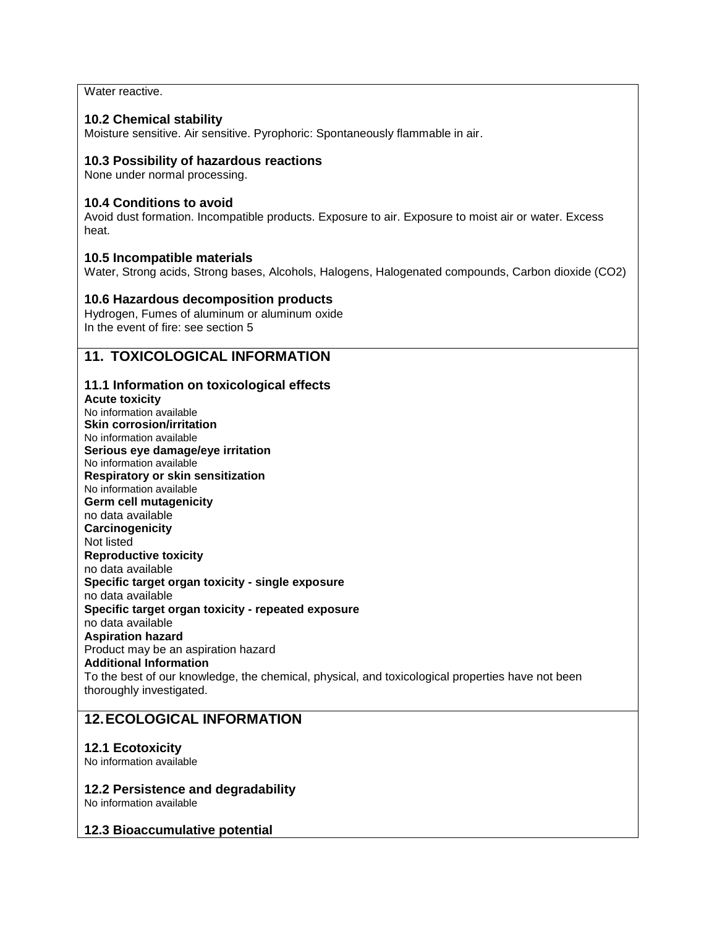Water reactive.

## **10.2 Chemical stability**

Moisture sensitive. Air sensitive. Pyrophoric: Spontaneously flammable in air.

## **10.3 Possibility of hazardous reactions**

None under normal processing.

## **10.4 Conditions to avoid**

Avoid dust formation. Incompatible products. Exposure to air. Exposure to moist air or water. Excess heat.

### **10.5 Incompatible materials**

Water, Strong acids, Strong bases, Alcohols, Halogens, Halogenated compounds, Carbon dioxide (CO2)

### **10.6 Hazardous decomposition products**

Hydrogen, Fumes of aluminum or aluminum oxide In the event of fire: see section 5

# **11. TOXICOLOGICAL INFORMATION**

### **11.1 Information on toxicological effects**

**Acute toxicity** No information available **Skin corrosion/irritation** No information available **Serious eye damage/eye irritation** No information available **Respiratory or skin sensitization** No information available **Germ cell mutagenicity** no data available **Carcinogenicity** Not listed **Reproductive toxicity** no data available **Specific target organ toxicity - single exposure** no data available **Specific target organ toxicity - repeated exposure** no data available **Aspiration hazard** Product may be an aspiration hazard **Additional Information** To the best of our knowledge, the chemical, physical, and toxicological properties have not been thoroughly investigated.

# **12.ECOLOGICAL INFORMATION**

### **12.1 Ecotoxicity**

No information available

### **12.2 Persistence and degradability**

No information available

### **12.3 Bioaccumulative potential**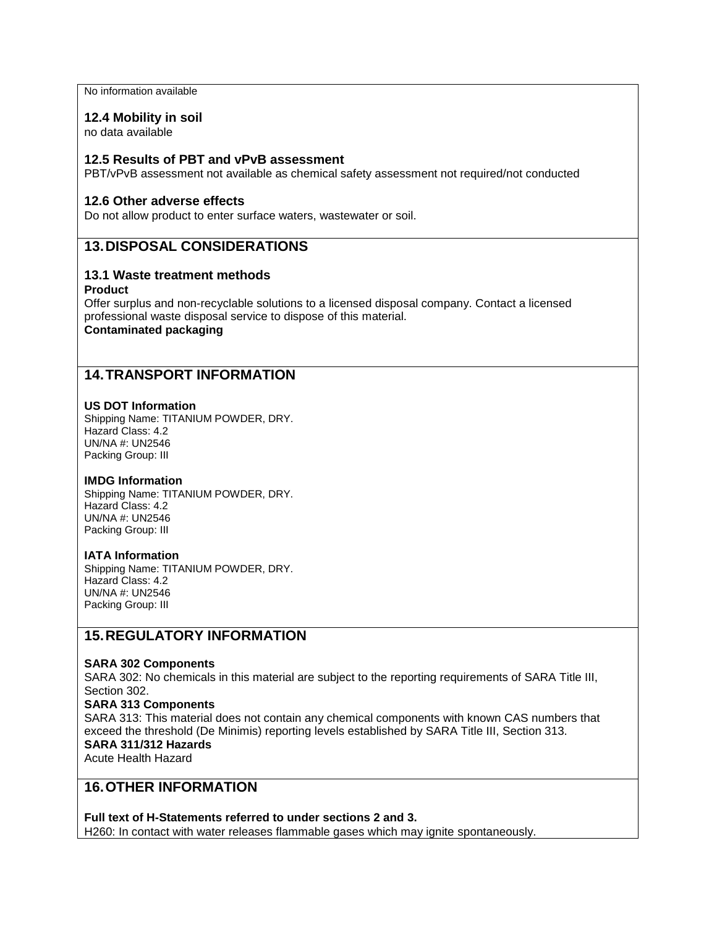No information available

#### **12.4 Mobility in soil**

no data available

#### **12.5 Results of PBT and vPvB assessment**

PBT/vPvB assessment not available as chemical safety assessment not required/not conducted

#### **12.6 Other adverse effects**

Do not allow product to enter surface waters, wastewater or soil.

## **13.DISPOSAL CONSIDERATIONS**

### **13.1 Waste treatment methods**

#### **Product**

Offer surplus and non-recyclable solutions to a licensed disposal company. Contact a licensed professional waste disposal service to dispose of this material. **Contaminated packaging**

## **14.TRANSPORT INFORMATION**

#### **US DOT Information**

Shipping Name: TITANIUM POWDER, DRY. Hazard Class: 4.2 UN/NA #: UN2546 Packing Group: III

#### **IMDG Information**

Shipping Name: TITANIUM POWDER, DRY. Hazard Class: 4.2 UN/NA #: UN2546 Packing Group: III

#### **IATA Information**

Shipping Name: TITANIUM POWDER, DRY. Hazard Class: 4.2 UN/NA #: UN2546 Packing Group: III

## **15.REGULATORY INFORMATION**

#### **SARA 302 Components**

SARA 302: No chemicals in this material are subject to the reporting requirements of SARA Title III, Section 302.

#### **SARA 313 Components**

SARA 313: This material does not contain any chemical components with known CAS numbers that exceed the threshold (De Minimis) reporting levels established by SARA Title III, Section 313. **SARA 311/312 Hazards** Acute Health Hazard

# **16.OTHER INFORMATION**

**Full text of H-Statements referred to under sections 2 and 3.** H260: In contact with water releases flammable gases which may ignite spontaneously.